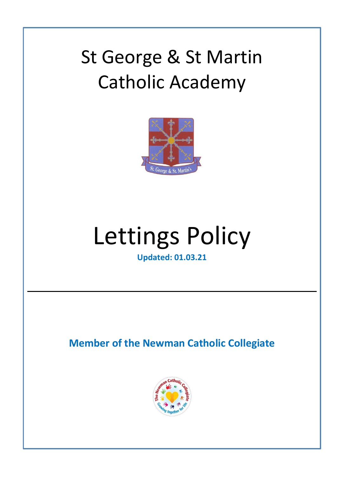# St. George *R*, St. Martin **According** St George & St Martin Catholic Academy



# Lettings Policy

**Updated: 01.03.21**

**Member of the Newman Catholic Collegiate**

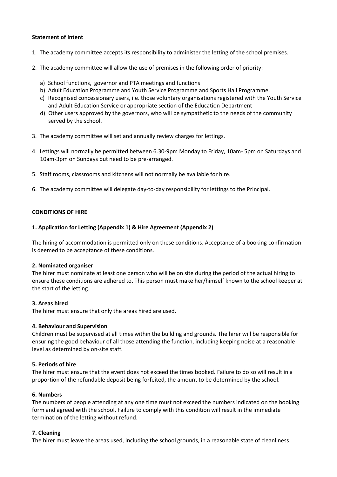# **Statement of Intent**

- 1. The academy committee accepts its responsibility to administer the letting of the school premises.
- 2. The academy committee will allow the use of premises in the following order of priority:
	- a) School functions, governor and PTA meetings and functions
	- b) Adult Education Programme and Youth Service Programme and Sports Hall Programme.
	- c) Recognised concessionary users, i.e. those voluntary organisations registered with the Youth Service and Adult Education Service or appropriate section of the Education Department
	- d) Other users approved by the governors, who will be sympathetic to the needs of the community served by the school.
- 3. The academy committee will set and annually review charges for lettings.
- 4. Lettings will normally be permitted between 6.30-9pm Monday to Friday, 10am- 5pm on Saturdays and 10am-3pm on Sundays but need to be pre-arranged.
- 5. Staff rooms, classrooms and kitchens will not normally be available for hire.
- 6. The academy committee will delegate day-to-day responsibility for lettings to the Principal.

# **CONDITIONS OF HIRE**

# **1. Application for Letting (Appendix 1) & Hire Agreement (Appendix 2)**

The hiring of accommodation is permitted only on these conditions. Acceptance of a booking confirmation is deemed to be acceptance of these conditions.

#### **2. Nominated organiser**

The hirer must nominate at least one person who will be on site during the period of the actual hiring to ensure these conditions are adhered to. This person must make her/himself known to the school keeper at the start of the letting.

#### **3. Areas hired**

The hirer must ensure that only the areas hired are used.

#### **4. Behaviour and Supervision**

Children must be supervised at all times within the building and grounds. The hirer will be responsible for ensuring the good behaviour of all those attending the function, including keeping noise at a reasonable level as determined by on-site staff.

#### **5. Periods of hire**

The hirer must ensure that the event does not exceed the times booked. Failure to do so will result in a proportion of the refundable deposit being forfeited, the amount to be determined by the school.

#### **6. Numbers**

The numbers of people attending at any one time must not exceed the numbers indicated on the booking form and agreed with the school. Failure to comply with this condition will result in the immediate termination of the letting without refund.

#### **7. Cleaning**

The hirer must leave the areas used, including the school grounds, in a reasonable state of cleanliness.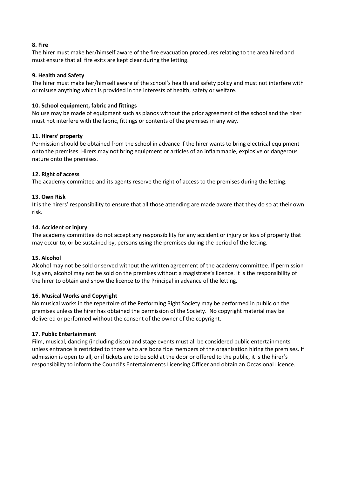#### **8. Fire**

The hirer must make her/himself aware of the fire evacuation procedures relating to the area hired and must ensure that all fire exits are kept clear during the letting.

# **9. Health and Safety**

The hirer must make her/himself aware of the school's health and safety policy and must not interfere with or misuse anything which is provided in the interests of health, safety or welfare.

# **10. School equipment, fabric and fittings**

No use may be made of equipment such as pianos without the prior agreement of the school and the hirer must not interfere with the fabric, fittings or contents of the premises in any way.

# **11. Hirers' property**

Permission should be obtained from the school in advance if the hirer wants to bring electrical equipment onto the premises. Hirers may not bring equipment or articles of an inflammable, explosive or dangerous nature onto the premises.

# **12. Right of access**

The academy committee and its agents reserve the right of access to the premises during the letting.

# **13. Own Risk**

It is the hirers' responsibility to ensure that all those attending are made aware that they do so at their own risk.

# **14. Accident or injury**

The academy committee do not accept any responsibility for any accident or injury or loss of property that may occur to, or be sustained by, persons using the premises during the period of the letting.

# **15. Alcohol**

Alcohol may not be sold or served without the written agreement of the academy committee. If permission is given, alcohol may not be sold on the premises without a magistrate's licence. It is the responsibility of the hirer to obtain and show the licence to the Principal in advance of the letting.

#### **16. Musical Works and Copyright**

No musical works in the repertoire of the Performing Right Society may be performed in public on the premises unless the hirer has obtained the permission of the Society. No copyright material may be delivered or performed without the consent of the owner of the copyright.

#### **17. Public Entertainment**

Film, musical, dancing (including disco) and stage events must all be considered public entertainments unless entrance is restricted to those who are bona fide members of the organisation hiring the premises. If admission is open to all, or if tickets are to be sold at the door or offered to the public, it is the hirer's responsibility to inform the Council's Entertainments Licensing Officer and obtain an Occasional Licence.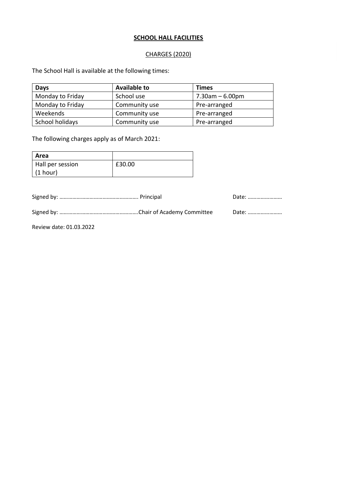# **SCHOOL HALL FACILITIES**

# CHARGES (2020)

The School Hall is available at the following times:

| <b>Days</b>      | <b>Available to</b> | <b>Times</b>       |
|------------------|---------------------|--------------------|
| Monday to Friday | School use          | $7.30$ am – 6.00pm |
| Monday to Friday | Community use       | Pre-arranged       |
| Weekends         | Community use       | Pre-arranged       |
| School holidays  | Community use       | Pre-arranged       |

The following charges apply as of March 2021:

| Area             |        |
|------------------|--------|
| Hall per session | £30.00 |
| (1 hour)         |        |

Signed by: ………………………………………………. Principal Date: ……………………

Signed by: ……………………………………………….Chair of Academy Committee Date: ……………………

Review date: 01.03.2022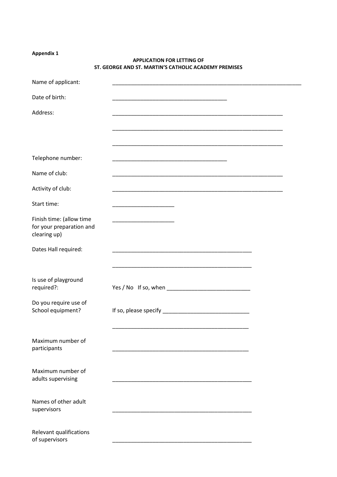# **Appendix 1**

| Name of applicant:                                                   |                                                                                                                       |  |
|----------------------------------------------------------------------|-----------------------------------------------------------------------------------------------------------------------|--|
| Date of birth:                                                       |                                                                                                                       |  |
| Address:                                                             |                                                                                                                       |  |
|                                                                      |                                                                                                                       |  |
|                                                                      |                                                                                                                       |  |
| Telephone number:                                                    |                                                                                                                       |  |
| Name of club:                                                        |                                                                                                                       |  |
| Activity of club:                                                    |                                                                                                                       |  |
| Start time:                                                          |                                                                                                                       |  |
| Finish time: (allow time<br>for your preparation and<br>clearing up) | <u> 1989 - Johann Barn, mars eta bat error</u>                                                                        |  |
| Dates Hall required:                                                 | <u> 1989 - Johann John Stone, markin amerikan basal dan berkembang di banyak di banyak di banyak di banyak di ban</u> |  |
|                                                                      | the control of the control of the control of the control of the control of the control of                             |  |
| Is use of playground<br>required?:                                   |                                                                                                                       |  |
| Do you require use of<br>School equipment?                           |                                                                                                                       |  |
| Maximum number of<br>participants                                    |                                                                                                                       |  |
| Maximum number of<br>adults supervising                              |                                                                                                                       |  |
| Names of other adult<br>supervisors                                  |                                                                                                                       |  |
| Relevant qualifications<br>of supervisors                            |                                                                                                                       |  |

# **APPLICATION FOR LETTING OF ST. GEORGE AND ST. MARTIN'S CATHOLIC ACADEMY PREMISES**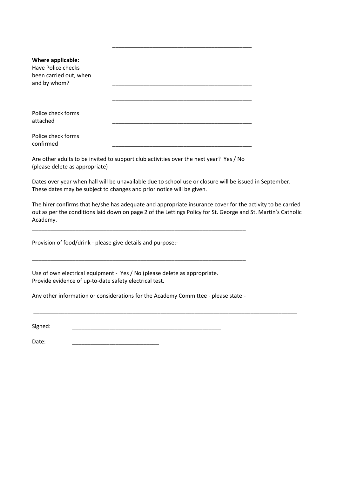| Where applicable:<br>Have Police checks<br>been carried out, when<br>and by whom? |  |
|-----------------------------------------------------------------------------------|--|
|                                                                                   |  |
|                                                                                   |  |
| Police check forms<br>attached                                                    |  |
|                                                                                   |  |
| Police check forms<br>confirmed                                                   |  |

Are other adults to be invited to support club activities over the next year? Yes / No (please delete as appropriate)

\_\_\_\_\_\_\_\_\_\_\_\_\_\_\_\_\_\_\_\_\_\_\_\_\_\_\_\_\_\_\_\_\_\_\_\_\_\_\_\_\_\_\_\_\_\_\_\_\_\_\_\_\_\_\_\_\_\_\_\_\_\_\_\_\_\_\_\_\_

\_\_\_\_\_\_\_\_\_\_\_\_\_\_\_\_\_\_\_\_\_\_\_\_\_\_\_\_\_\_\_\_\_\_\_\_\_\_\_\_\_\_\_\_\_\_\_\_\_\_\_\_\_\_\_\_\_\_\_\_\_\_\_\_\_\_\_\_\_

Dates over year when hall will be unavailable due to school use or closure will be issued in September. These dates may be subject to changes and prior notice will be given.

The hirer confirms that he/she has adequate and appropriate insurance cover for the activity to be carried out as per the conditions laid down on page 2 of the Lettings Policy for St. George and St. Martin's Catholic Academy.

\_\_\_\_\_\_\_\_\_\_\_\_\_\_\_\_\_\_\_\_\_\_\_\_\_\_\_\_\_\_\_\_\_\_\_\_\_\_\_\_\_\_\_\_\_\_\_\_\_\_\_\_\_\_\_\_\_\_\_\_\_\_\_\_\_\_\_\_\_\_\_\_\_\_\_\_\_\_\_\_\_\_\_\_\_

\_\_\_\_\_\_\_\_\_\_\_\_\_\_\_\_\_\_\_\_\_\_\_\_\_\_\_\_\_\_\_\_\_\_\_\_\_\_\_\_\_\_\_\_\_

Provision of food/drink - please give details and purpose:-

Use of own electrical equipment - Yes / No (please delete as appropriate. Provide evidence of up-to-date safety electrical test.

Any other information or considerations for the Academy Committee - please state:-

Signed: \_\_\_\_\_\_\_\_\_\_\_\_\_\_\_\_\_\_\_\_\_\_\_\_\_\_\_\_\_\_\_\_\_\_\_\_\_\_\_\_\_\_\_\_\_\_\_\_

Date: \_\_\_\_\_\_\_\_\_\_\_\_\_\_\_\_\_\_\_\_\_\_\_\_\_\_\_\_